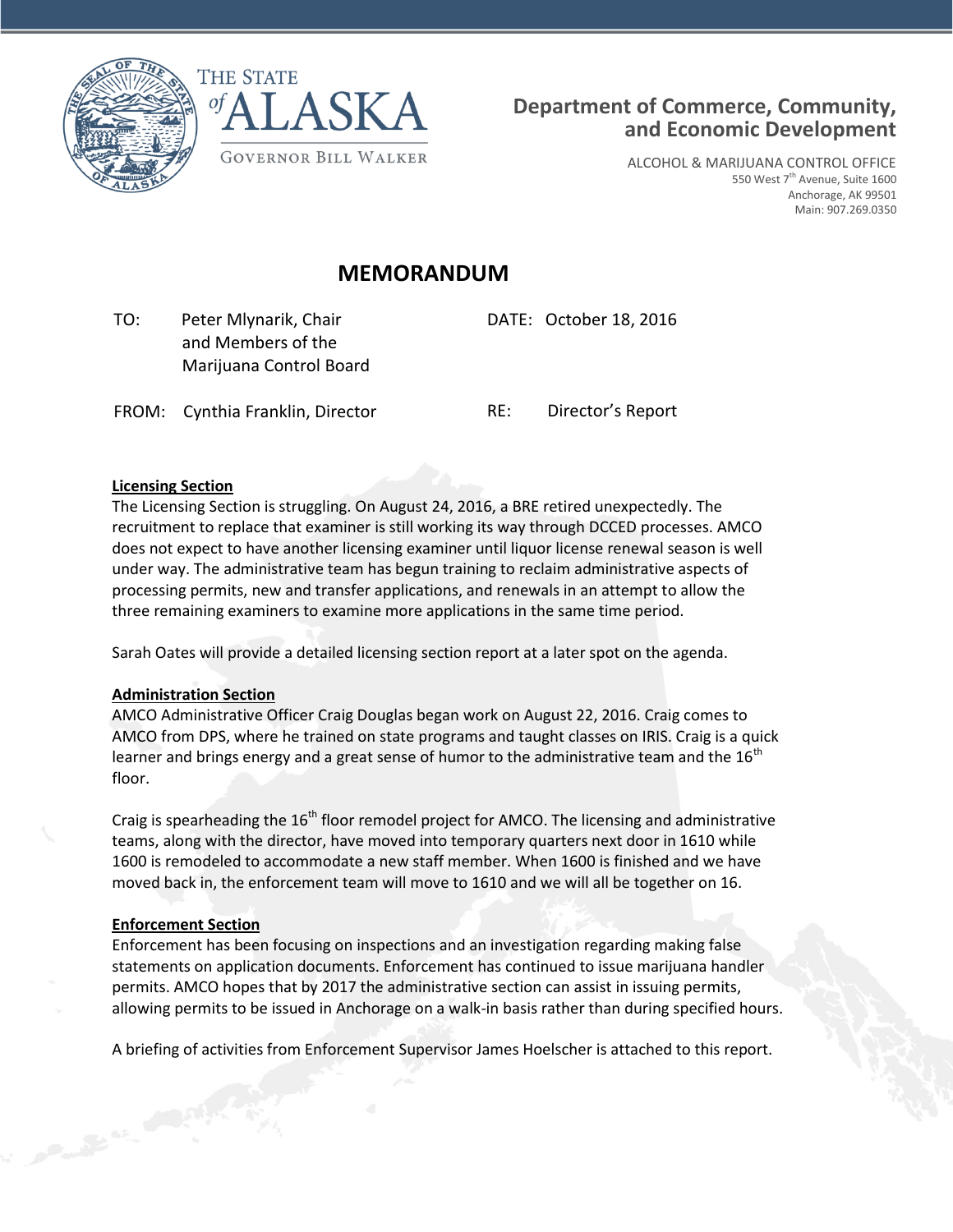



ALCOHOL & MARIJUANA CONTROL OFFICE 550 West  $7^{\text{th}}$  Avenue, Suite 1600 Anchorage, AK 99501 Main: 907.269.0350

# **MEMORANDUM**

 TO: Peter Mlynarik, Chair and Members of the Marijuana Control Board DATE: October 18, 2016

FROM: Cynthia Franklin, Director RE: Director's Report

#### **Licensing Section**

The Licensing Section is struggling. On August 24, 2016, a BRE retired unexpectedly. The recruitment to replace that examiner is still working its way through DCCED processes. AMCO does not expect to have another licensing examiner until liquor license renewal season is well under way. The administrative team has begun training to reclaim administrative aspects of processing permits, new and transfer applications, and renewals in an attempt to allow the three remaining examiners to examine more applications in the same time period.

Sarah Oates will provide a detailed licensing section report at a later spot on the agenda.

#### **Administration Section**

AMCO Administrative Officer Craig Douglas began work on August 22, 2016. Craig comes to AMCO from DPS, where he trained on state programs and taught classes on IRIS. Craig is a quick learner and brings energy and a great sense of humor to the administrative team and the  $16<sup>th</sup>$ floor.

Craig is spearheading the  $16<sup>th</sup>$  floor remodel project for AMCO. The licensing and administrative teams, along with the director, have moved into temporary quarters next door in 1610 while 1600 is remodeled to accommodate a new staff member. When 1600 is finished and we have moved back in, the enforcement team will move to 1610 and we will all be together on 16.

#### **Enforcement Section**

Enforcement has been focusing on inspections and an investigation regarding making false statements on application documents. Enforcement has continued to issue marijuana handler permits. AMCO hopes that by 2017 the administrative section can assist in issuing permits, allowing permits to be issued in Anchorage on a walk-in basis rather than during specified hours.

A briefing of activities from Enforcement Supervisor James Hoelscher is attached to this report.